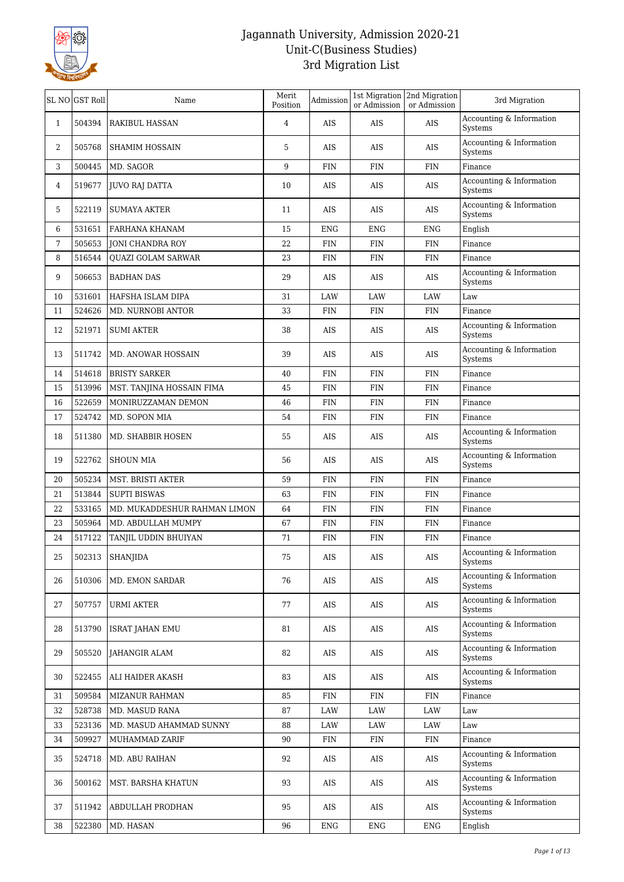

|              | SL NO GST Roll | Name                         | Merit<br>Position | Admission  | or Admission | 1st Migration   2nd Migration<br>or Admission | 3rd Migration                          |
|--------------|----------------|------------------------------|-------------------|------------|--------------|-----------------------------------------------|----------------------------------------|
| $\mathbf{1}$ | 504394         | RAKIBUL HASSAN               | 4                 | AIS        | AIS          | AIS                                           | Accounting & Information<br>Systems    |
| 2            | 505768         | <b>SHAMIM HOSSAIN</b>        | 5                 | AIS        | AIS          | AIS                                           | Accounting & Information<br>Systems    |
| 3            | 500445         | MD. SAGOR                    | 9                 | <b>FIN</b> | <b>FIN</b>   | <b>FIN</b>                                    | Finance                                |
| 4            | 519677         | JUVO RAJ DATTA               | 10                | AIS        | AIS          | AIS                                           | Accounting & Information<br>Systems    |
| 5            | 522119         | SUMAYA AKTER                 | 11                | AIS        | AIS          | AIS                                           | Accounting & Information<br>Systems    |
| 6            | 531651         | FARHANA KHANAM               | 15                | <b>ENG</b> | <b>ENG</b>   | ENG                                           | English                                |
| 7            | 505653         | <b>JONI CHANDRA ROY</b>      | 22                | <b>FIN</b> | <b>FIN</b>   | <b>FIN</b>                                    | Finance                                |
| 8            | 516544         | QUAZI GOLAM SARWAR           | 23                | <b>FIN</b> | <b>FIN</b>   | <b>FIN</b>                                    | Finance                                |
| 9            | 506653         | <b>BADHAN DAS</b>            | 29                | AIS        | AIS          | AIS                                           | Accounting & Information<br>Systems    |
| 10           | 531601         | HAFSHA ISLAM DIPA            | 31                | LAW        | LAW          | LAW                                           | Law                                    |
| 11           | 524626         | MD. NURNOBI ANTOR            | 33                | <b>FIN</b> | <b>FIN</b>   | <b>FIN</b>                                    | Finance                                |
| 12           | 521971         | <b>SUMI AKTER</b>            | 38                | AIS        | AIS          | AIS                                           | Accounting & Information<br>Systems    |
| 13           | 511742         | MD. ANOWAR HOSSAIN           | 39                | AIS        | <b>AIS</b>   | AIS                                           | Accounting & Information<br>Systems    |
| 14           | 514618         | <b>BRISTY SARKER</b>         | 40                | <b>FIN</b> | <b>FIN</b>   | <b>FIN</b>                                    | Finance                                |
| 15           | 513996         | MST. TANJINA HOSSAIN FIMA    | 45                | <b>FIN</b> | <b>FIN</b>   | <b>FIN</b>                                    | Finance                                |
| 16           | 522659         | MONIRUZZAMAN DEMON           | 46                | FIN        | <b>FIN</b>   | <b>FIN</b>                                    | Finance                                |
| 17           | 524742         | MD. SOPON MIA                | 54                | <b>FIN</b> | <b>FIN</b>   | <b>FIN</b>                                    | Finance                                |
| 18           | 511380         | MD. SHABBIR HOSEN            | 55                | AIS        | AIS          | AIS                                           | Accounting & Information<br>Systems    |
| 19           | 522762         | <b>SHOUN MIA</b>             | 56                | AIS        | AIS          | AIS                                           | Accounting $\&$ Information<br>Systems |
| 20           | 505234         | MST. BRISTI AKTER            | 59                | FIN        | <b>FIN</b>   | FIN                                           | Finance                                |
| 21           | 513844         | <b>SUPTI BISWAS</b>          | 63                | <b>FIN</b> | <b>FIN</b>   | <b>FIN</b>                                    | Finance                                |
| 22           | 533165         | MD. MUKADDESHUR RAHMAN LIMON | 64                | <b>FIN</b> | <b>FIN</b>   | FIN                                           | Finance                                |
| 23           | 505964         | MD. ABDULLAH MUMPY           | 67                | <b>FIN</b> | <b>FIN</b>   | <b>FIN</b>                                    | Finance                                |
| 24           | 517122         | TANJIL UDDIN BHUIYAN         | 71                | <b>FIN</b> | <b>FIN</b>   | <b>FIN</b>                                    | Finance                                |
| 25           | 502313         | <b>SHANJIDA</b>              | 75                | AIS        | AIS          | <b>AIS</b>                                    | Accounting & Information<br>Systems    |
| 26           | 510306         | MD. EMON SARDAR              | 76                | AIS        | AIS          | AIS                                           | Accounting & Information<br>Systems    |
| 27           | 507757         | URMI AKTER                   | 77                | AIS        | AIS          | AIS                                           | Accounting & Information<br>Systems    |
| 28           | 513790         | <b>ISRAT JAHAN EMU</b>       | 81                | AIS        | AIS          | AIS                                           | Accounting & Information<br>Systems    |
| 29           | 505520         | JAHANGIR ALAM                | 82                | AIS        | AIS          | AIS                                           | Accounting & Information<br>Systems    |
| 30           | 522455         | ALI HAIDER AKASH             | 83                | AIS        | AIS          | AIS                                           | Accounting & Information<br>Systems    |
| 31           | 509584         | MIZANUR RAHMAN               | 85                | FIN        | FIN          | <b>FIN</b>                                    | Finance                                |
| 32           | 528738         | MD. MASUD RANA               | 87                | LAW        | LAW          | LAW                                           | Law                                    |
| 33           | 523136         | MD. MASUD AHAMMAD SUNNY      | 88                | LAW        | LAW          | LAW                                           | Law                                    |
| 34           | 509927         | MUHAMMAD ZARIF               | 90                | FIN        | <b>FIN</b>   | <b>FIN</b>                                    | Finance                                |
| 35           | 524718         | MD. ABU RAIHAN               | 92                | AIS        | AIS          | AIS                                           | Accounting & Information<br>Systems    |
| 36           | 500162         | MST. BARSHA KHATUN           | 93                | AIS        | AIS          | AIS                                           | Accounting & Information<br>Systems    |
| 37           | 511942         | ABDULLAH PRODHAN             | 95                | AIS        | AIS          | AIS                                           | Accounting & Information<br>Systems    |
| 38           | 522380         | MD. HASAN                    | 96                | <b>ENG</b> | <b>ENG</b>   | <b>ENG</b>                                    | English                                |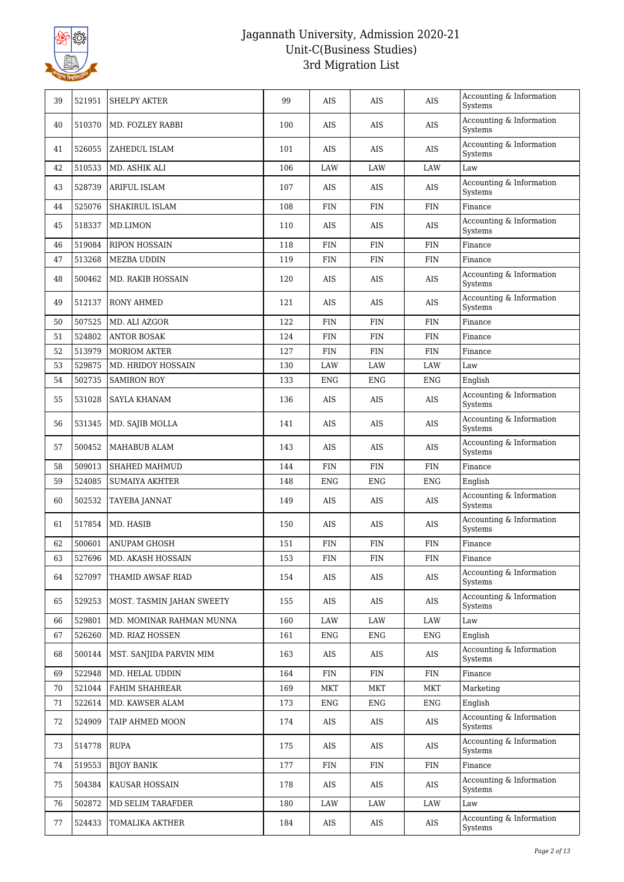

| 39 | 521951 | <b>SHELPY AKTER</b>       | 99  | AIS         | AIS         | <b>AIS</b>  | Accounting & Information<br>Systems    |
|----|--------|---------------------------|-----|-------------|-------------|-------------|----------------------------------------|
| 40 | 510370 | MD. FOZLEY RABBI          | 100 | AIS         | AIS         | AIS         | Accounting & Information<br>Systems    |
| 41 | 526055 | ZAHEDUL ISLAM             | 101 | AIS         | AIS         | AIS         | Accounting & Information<br>Systems    |
| 42 | 510533 | MD. ASHIK ALI             | 106 | <b>LAW</b>  | LAW         | LAW         | Law                                    |
| 43 | 528739 | ARIFUL ISLAM              | 107 | AIS         | AIS         | <b>AIS</b>  | Accounting & Information<br>Systems    |
| 44 | 525076 | SHAKIRUL ISLAM            | 108 | <b>FIN</b>  | <b>FIN</b>  | <b>FIN</b>  | Finance                                |
| 45 | 518337 | MD.LIMON                  | 110 | AIS         | <b>AIS</b>  | AIS         | Accounting & Information<br>Systems    |
| 46 | 519084 | <b>RIPON HOSSAIN</b>      | 118 | <b>FIN</b>  | <b>FIN</b>  | <b>FIN</b>  | Finance                                |
| 47 | 513268 | <b>MEZBA UDDIN</b>        | 119 | <b>FIN</b>  | <b>FIN</b>  | <b>FIN</b>  | Finance                                |
| 48 | 500462 | <b>MD. RAKIB HOSSAIN</b>  | 120 | AIS         | AIS         | AIS         | Accounting & Information<br>Systems    |
| 49 | 512137 | <b>RONY AHMED</b>         | 121 | AIS         | AIS         | <b>AIS</b>  | Accounting & Information<br>Systems    |
| 50 | 507525 | MD. ALI AZGOR             | 122 | <b>FIN</b>  | <b>FIN</b>  | FIN         | Finance                                |
| 51 | 524802 | <b>ANTOR BOSAK</b>        | 124 | <b>FIN</b>  | <b>FIN</b>  | <b>FIN</b>  | Finance                                |
| 52 | 513979 | <b>MORIOM AKTER</b>       | 127 | <b>FIN</b>  | <b>FIN</b>  | FIN         | Finance                                |
| 53 | 529875 | MD. HRIDOY HOSSAIN        | 130 | LAW         | LAW         | LAW         | Law                                    |
| 54 | 502735 | <b>SAMIRON ROY</b>        | 133 | <b>ENG</b>  | <b>ENG</b>  | <b>ENG</b>  | English                                |
| 55 | 531028 | SAYLA KHANAM              | 136 | AIS         | AIS         | <b>AIS</b>  | Accounting & Information<br>Systems    |
| 56 | 531345 | MD. SAJIB MOLLA           | 141 | AIS         | AIS         | AIS         | Accounting $\&$ Information<br>Systems |
| 57 | 500452 | MAHABUB ALAM              | 143 | AIS         | AIS         | AIS         | Accounting & Information<br>Systems    |
| 58 | 509013 | SHAHED MAHMUD             | 144 | <b>FIN</b>  | <b>FIN</b>  | <b>FIN</b>  | Finance                                |
| 59 | 524085 | <b>SUMAIYA AKHTER</b>     | 148 | <b>ENG</b>  | <b>ENG</b>  | <b>ENG</b>  | English                                |
| 60 | 502532 | TAYEBA JANNAT             | 149 | AIS         | AIS         | AIS         | Accounting & Information<br>Systems    |
| 61 | 517854 | MD. HASIB                 | 150 | AIS         | AIS         | AIS         | Accounting $\&$ Information<br>Systems |
| 62 | 500601 | <b>ANUPAM GHOSH</b>       | 151 | <b>FIN</b>  | <b>FIN</b>  | <b>FIN</b>  | Finance                                |
| 63 | 527696 | MD. AKASH HOSSAIN         | 153 | ${\rm FIN}$ | ${\rm FIN}$ | ${\rm FIN}$ | Finance                                |
| 64 | 527097 | THAMID AWSAF RIAD         | 154 | AIS         | AIS         | AIS         | Accounting & Information<br>Systems    |
| 65 | 529253 | MOST. TASMIN JAHAN SWEETY | 155 | AIS         | AIS         | AIS         | Accounting & Information<br>Systems    |
| 66 | 529801 | MD. MOMINAR RAHMAN MUNNA  | 160 | LAW         | LAW         | LAW         | Law                                    |
| 67 | 526260 | MD. RIAZ HOSSEN           | 161 | ENG         | ENG         | <b>ENG</b>  | English                                |
| 68 | 500144 | MST. SANJIDA PARVIN MIM   | 163 | AIS         | AIS         | AIS         | Accounting & Information<br>Systems    |
| 69 | 522948 | MD. HELAL UDDIN           | 164 | <b>FIN</b>  | <b>FIN</b>  | <b>FIN</b>  | Finance                                |
| 70 | 521044 | FAHIM SHAHREAR            | 169 | MKT         | MKT         | <b>MKT</b>  | Marketing                              |
| 71 | 522614 | MD. KAWSER ALAM           | 173 | ENG         | ENG         | <b>ENG</b>  | English                                |
| 72 | 524909 | TAIP AHMED MOON           | 174 | AIS         | AIS         | AIS         | Accounting & Information<br>Systems    |
| 73 | 514778 | <b>RUPA</b>               | 175 | AIS         | AIS         | AIS         | Accounting & Information<br>Systems    |
| 74 | 519553 | <b>BIJOY BANIK</b>        | 177 | <b>FIN</b>  | FIN         | <b>FIN</b>  | Finance                                |
| 75 | 504384 | KAUSAR HOSSAIN            | 178 | AIS         | AIS         | AIS         | Accounting & Information<br>Systems    |
| 76 | 502872 | MD SELIM TARAFDER         | 180 | LAW         | LAW         | LAW         | Law                                    |
| 77 | 524433 | TOMALIKA AKTHER           | 184 | AIS         | AIS         | AIS         | Accounting & Information<br>Systems    |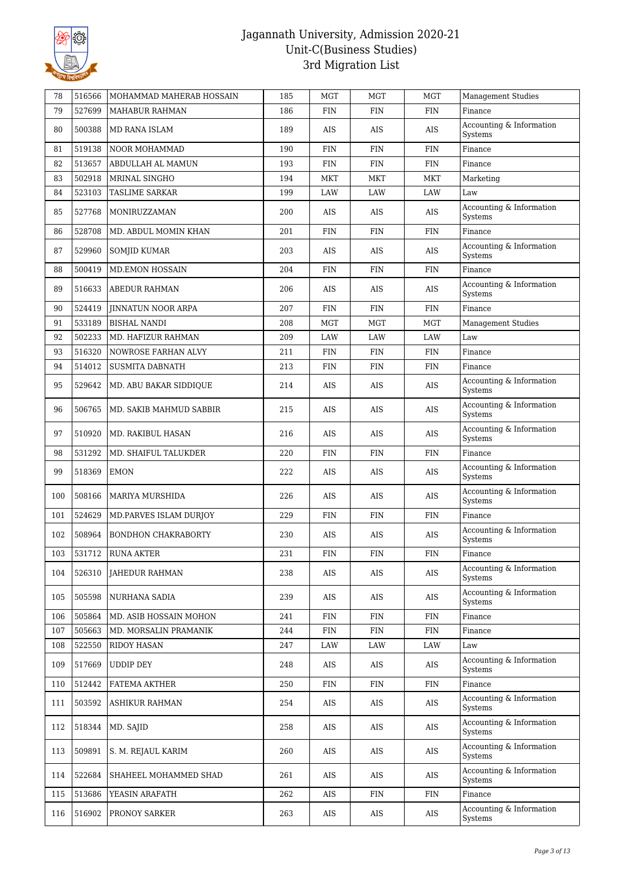

| 78  | 516566 | MOHAMMAD MAHERAB HOSSAIN   | 185 | MGT        | <b>MGT</b> | <b>MGT</b> | <b>Management Studies</b>           |
|-----|--------|----------------------------|-----|------------|------------|------------|-------------------------------------|
| 79  | 527699 | <b>MAHABUR RAHMAN</b>      | 186 | <b>FIN</b> | <b>FIN</b> | <b>FIN</b> | Finance                             |
| 80  | 500388 | MD RANA ISLAM              | 189 | AIS        | AIS        | AIS        | Accounting & Information<br>Systems |
| 81  | 519138 | <b>NOOR MOHAMMAD</b>       | 190 | <b>FIN</b> | <b>FIN</b> | <b>FIN</b> | Finance                             |
| 82  | 513657 | ABDULLAH AL MAMUN          | 193 | <b>FIN</b> | <b>FIN</b> | <b>FIN</b> | Finance                             |
| 83  | 502918 | MRINAL SINGHO              | 194 | MKT        | MKT        | MKT        | Marketing                           |
| 84  | 523103 | <b>TASLIME SARKAR</b>      | 199 | LAW        | LAW        | LAW        | Law                                 |
| 85  | 527768 | MONIRUZZAMAN               | 200 | AIS        | AIS        | AIS        | Accounting & Information<br>Systems |
| 86  | 528708 | MD. ABDUL MOMIN KHAN       | 201 | <b>FIN</b> | <b>FIN</b> | <b>FIN</b> | Finance                             |
| 87  | 529960 | SOMJID KUMAR               | 203 | AIS        | AIS        | AIS        | Accounting & Information<br>Systems |
| 88  | 500419 | MD.EMON HOSSAIN            | 204 | <b>FIN</b> | <b>FIN</b> | <b>FIN</b> | Finance                             |
| 89  | 516633 | <b>ABEDUR RAHMAN</b>       | 206 | AIS        | AIS        | AIS        | Accounting & Information<br>Systems |
| 90  | 524419 | <b>JINNATUN NOOR ARPA</b>  | 207 | <b>FIN</b> | <b>FIN</b> | <b>FIN</b> | Finance                             |
| 91  | 533189 | <b>BISHAL NANDI</b>        | 208 | MGT        | <b>MGT</b> | <b>MGT</b> | <b>Management Studies</b>           |
| 92  | 502233 | MD. HAFIZUR RAHMAN         | 209 | LAW        | LAW        | LAW        | Law                                 |
| 93  | 516320 | NOWROSE FARHAN ALVY        | 211 | <b>FIN</b> | <b>FIN</b> | <b>FIN</b> | Finance                             |
| 94  | 514012 | <b>SUSMITA DABNATH</b>     | 213 | <b>FIN</b> | <b>FIN</b> | <b>FIN</b> | Finance                             |
| 95  | 529642 | MD. ABU BAKAR SIDDIQUE     | 214 | AIS        | AIS        | AIS        | Accounting & Information<br>Systems |
| 96  | 506765 | MD. SAKIB MAHMUD SABBIR    | 215 | AIS        | AIS        | AIS        | Accounting & Information<br>Systems |
| 97  | 510920 | MD. RAKIBUL HASAN          | 216 | AIS        | AIS        | AIS        | Accounting & Information<br>Systems |
| 98  | 531292 | MD. SHAIFUL TALUKDER       | 220 | <b>FIN</b> | <b>FIN</b> | <b>FIN</b> | Finance                             |
| 99  | 518369 | <b>EMON</b>                | 222 | AIS        | AIS        | AIS        | Accounting & Information<br>Systems |
| 100 | 508166 | MARIYA MURSHIDA            | 226 | AIS        | AIS        | AIS        | Accounting & Information<br>Systems |
| 101 | 524629 | MD.PARVES ISLAM DURJOY     | 229 | <b>FIN</b> | <b>FIN</b> | <b>FIN</b> | Finance                             |
| 102 | 508964 | <b>BONDHON CHAKRABORTY</b> | 230 | AIS        | AIS        | AIS        | Accounting & Information<br>Systems |
| 103 | 531712 | <b>RUNA AKTER</b>          | 231 | <b>FIN</b> | <b>FIN</b> | <b>FIN</b> | Finance                             |
| 104 | 526310 | <b>JAHEDUR RAHMAN</b>      | 238 | AIS        | AIS        | AIS        | Accounting & Information<br>Systems |
| 105 | 505598 | NURHANA SADIA              | 239 | AIS        | AIS        | AIS        | Accounting & Information<br>Systems |
| 106 | 505864 | MD. ASIB HOSSAIN MOHON     | 241 | <b>FIN</b> | <b>FIN</b> | <b>FIN</b> | Finance                             |
| 107 | 505663 | MD. MORSALIN PRAMANIK      | 244 | FIN        | <b>FIN</b> | <b>FIN</b> | Finance                             |
| 108 | 522550 | RIDOY HASAN                | 247 | LAW        | LAW        | LAW        | Law                                 |
| 109 | 517669 | <b>UDDIP DEY</b>           | 248 | AIS        | AIS        | AIS        | Accounting & Information<br>Systems |
| 110 | 512442 | FATEMA AKTHER              | 250 | <b>FIN</b> | <b>FIN</b> | <b>FIN</b> | Finance                             |
| 111 | 503592 | ASHIKUR RAHMAN             | 254 | AIS        | AIS        | AIS        | Accounting & Information<br>Systems |
| 112 | 518344 | MD. SAJID                  | 258 | AIS        | AIS        | AIS        | Accounting & Information<br>Systems |
| 113 | 509891 | S. M. REJAUL KARIM         | 260 | AIS        | AIS        | AIS        | Accounting & Information<br>Systems |
| 114 | 522684 | SHAHEEL MOHAMMED SHAD      | 261 | AIS        | AIS        | AIS        | Accounting & Information<br>Systems |
| 115 | 513686 | YEASIN ARAFATH             | 262 | AIS        | FIN        | <b>FIN</b> | Finance                             |
| 116 | 516902 | PRONOY SARKER              | 263 | AIS        | AIS        | AIS        | Accounting & Information<br>Systems |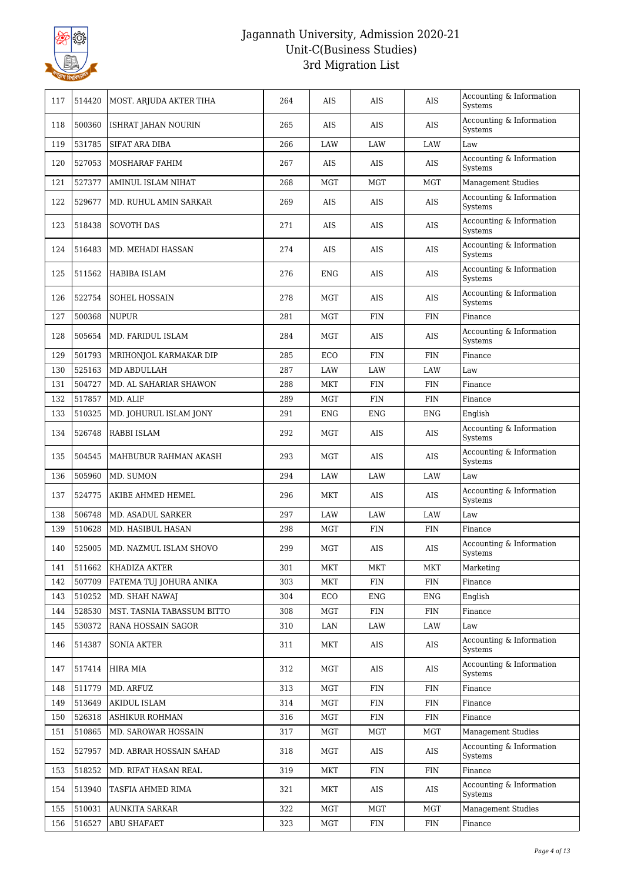

| 117 | 514420 | MOST. ARJUDA AKTER TIHA    | 264 | AIS        | AIS        | AIS        | Accounting & Information<br>Systems    |
|-----|--------|----------------------------|-----|------------|------------|------------|----------------------------------------|
| 118 | 500360 | ISHRAT JAHAN NOURIN        | 265 | AIS        | AIS        | AIS        | Accounting & Information<br>Systems    |
| 119 | 531785 | <b>SIFAT ARA DIBA</b>      | 266 | LAW        | LAW        | LAW        | Law                                    |
| 120 | 527053 | MOSHARAF FAHIM             | 267 | AIS        | AIS        | AIS        | Accounting & Information<br>Systems    |
| 121 | 527377 | AMINUL ISLAM NIHAT         | 268 | <b>MGT</b> | <b>MGT</b> | <b>MGT</b> | <b>Management Studies</b>              |
| 122 | 529677 | MD. RUHUL AMIN SARKAR      | 269 | AIS        | AIS        | AIS        | Accounting & Information<br>Systems    |
| 123 | 518438 | <b>SOVOTH DAS</b>          | 271 | AIS        | <b>AIS</b> | <b>AIS</b> | Accounting & Information<br>Systems    |
| 124 | 516483 | MD. MEHADI HASSAN          | 274 | AIS        | AIS        | AIS        | Accounting & Information<br>Systems    |
| 125 | 511562 | HABIBA ISLAM               | 276 | <b>ENG</b> | AIS        | AIS        | Accounting & Information<br>Systems    |
| 126 | 522754 | <b>SOHEL HOSSAIN</b>       | 278 | MGT        | AIS        | AIS        | Accounting & Information<br>Systems    |
| 127 | 500368 | <b>NUPUR</b>               | 281 | <b>MGT</b> | <b>FIN</b> | <b>FIN</b> | Finance                                |
| 128 | 505654 | MD. FARIDUL ISLAM          | 284 | MGT        | AIS        | AIS        | Accounting & Information<br>Systems    |
| 129 | 501793 | MRIHONJOL KARMAKAR DIP     | 285 | ECO        | <b>FIN</b> | <b>FIN</b> | Finance                                |
| 130 | 525163 | MD ABDULLAH                | 287 | LAW        | LAW        | LAW        | Law                                    |
| 131 | 504727 | MD. AL SAHARIAR SHAWON     | 288 | MKT        | <b>FIN</b> | <b>FIN</b> | Finance                                |
| 132 | 517857 | MD. ALIF                   | 289 | MGT        | <b>FIN</b> | FIN        | Finance                                |
| 133 | 510325 | MD. JOHURUL ISLAM JONY     | 291 | <b>ENG</b> | <b>ENG</b> | <b>ENG</b> | English                                |
| 134 | 526748 | RABBI ISLAM                | 292 | MGT        | AIS        | AIS        | Accounting & Information<br>Systems    |
| 135 | 504545 | MAHBUBUR RAHMAN AKASH      | 293 | MGT        | <b>AIS</b> | <b>AIS</b> | Accounting & Information<br>Systems    |
| 136 | 505960 | MD. SUMON                  | 294 | LAW        | LAW        | LAW        | Law                                    |
| 137 | 524775 | AKIBE AHMED HEMEL          | 296 | MKT        | AIS        | AIS        | Accounting & Information<br>Systems    |
| 138 | 506748 | MD. ASADUL SARKER          | 297 | LAW        | LAW        | LAW        | Law                                    |
| 139 | 510628 | MD. HASIBUL HASAN          | 298 | <b>MGT</b> | <b>FIN</b> | <b>FIN</b> | Finance                                |
| 140 | 525005 | MD. NAZMUL ISLAM SHOVO     | 299 | <b>MGT</b> | AIS        | AIS        | Accounting & Information<br>Systems    |
| 141 | 511662 | KHADIZA AKTER              | 301 | MKT        | MKT        | MKT        | Marketing                              |
| 142 | 507709 | FATEMA TUJ JOHURA ANIKA    | 303 | <b>MKT</b> | FIN        | <b>FIN</b> | Finance                                |
| 143 | 510252 | MD. SHAH NAWAJ             | 304 | ECO        | <b>ENG</b> | <b>ENG</b> | English                                |
| 144 | 528530 | MST. TASNIA TABASSUM BITTO | 308 | <b>MGT</b> | FIN        | <b>FIN</b> | Finance                                |
| 145 | 530372 | RANA HOSSAIN SAGOR         | 310 | LAN        | LAW        | LAW        | Law                                    |
| 146 | 514387 | <b>SONIA AKTER</b>         | 311 | MKT        | AIS        | AIS        | Accounting & Information<br>Systems    |
| 147 | 517414 | <b>HIRA MIA</b>            | 312 | MGT        | AIS        | AIS        | Accounting $\&$ Information<br>Systems |
| 148 | 511779 | MD. ARFUZ                  | 313 | <b>MGT</b> | <b>FIN</b> | <b>FIN</b> | $\ensuremath{\mathsf{Finance}}\xspace$ |
| 149 | 513649 | AKIDUL ISLAM               | 314 | <b>MGT</b> | <b>FIN</b> | FIN        | Finance                                |
| 150 | 526318 | <b>ASHIKUR ROHMAN</b>      | 316 | MGT        | FIN        | <b>FIN</b> | Finance                                |
| 151 | 510865 | MD. SAROWAR HOSSAIN        | 317 | MGT        | MGT        | MGT        | <b>Management Studies</b>              |
| 152 | 527957 | MD. ABRAR HOSSAIN SAHAD    | 318 | MGT        | AIS        | AIS        | Accounting & Information<br>Systems    |
| 153 | 518252 | MD. RIFAT HASAN REAL       | 319 | MKT        | FIN        | FIN        | Finance                                |
| 154 | 513940 | TASFIA AHMED RIMA          | 321 | MKT        | AIS        | AIS        | Accounting & Information<br>Systems    |
| 155 | 510031 | <b>AUNKITA SARKAR</b>      | 322 | MGT        | <b>MGT</b> | <b>MGT</b> | <b>Management Studies</b>              |
| 156 | 516527 | ABU SHAFAET                | 323 | MGT        | FIN        | FIN        | Finance                                |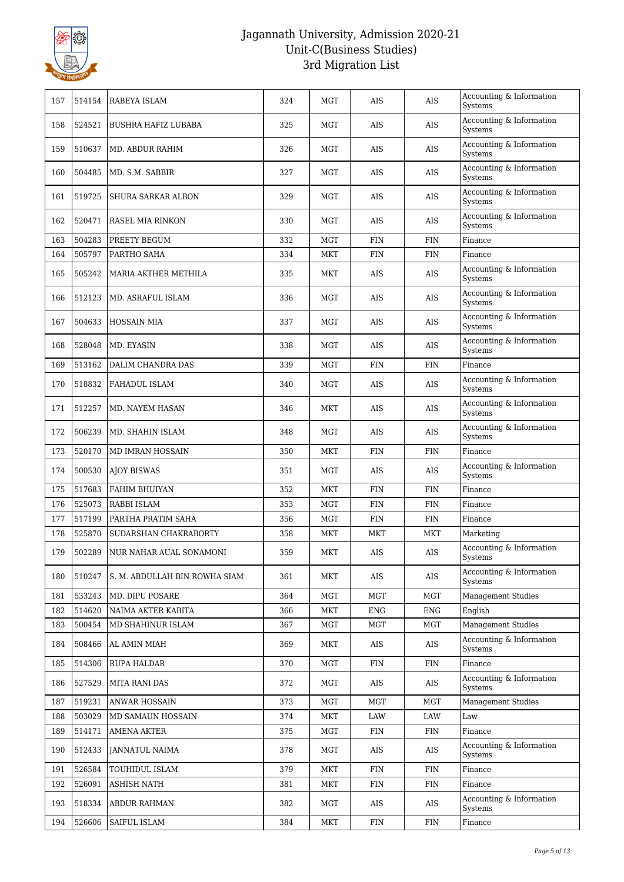

| 157 | 514154 | RABEYA ISLAM                  | 324 | MGT        | AIS        | AIS        | Accounting & Information<br>Systems    |
|-----|--------|-------------------------------|-----|------------|------------|------------|----------------------------------------|
| 158 | 524521 | <b>BUSHRA HAFIZ LUBABA</b>    | 325 | MGT        | AIS        | AIS        | Accounting & Information<br>Systems    |
| 159 | 510637 | MD. ABDUR RAHIM               | 326 | MGT        | AIS        | AIS        | Accounting & Information<br>Systems    |
| 160 | 504485 | MD. S.M. SABBIR               | 327 | MGT        | AIS        | AIS        | Accounting & Information<br>Systems    |
| 161 | 519725 | SHURA SARKAR ALBON            | 329 | MGT        | AIS        | AIS        | Accounting & Information<br>Systems    |
| 162 | 520471 | RASEL MIA RINKON              | 330 | MGT        | AIS        | AIS        | Accounting & Information<br>Systems    |
| 163 | 504283 | PREETY BEGUM                  | 332 | <b>MGT</b> | <b>FIN</b> | <b>FIN</b> | Finance                                |
| 164 | 505797 | PARTHO SAHA                   | 334 | MKT        | <b>FIN</b> | FIN        | Finance                                |
| 165 | 505242 | MARIA AKTHER METHILA          | 335 | MKT        | AIS        | AIS        | Accounting & Information<br>Systems    |
| 166 | 512123 | MD. ASRAFUL ISLAM             | 336 | MGT        | AIS        | AIS        | Accounting & Information<br>Systems    |
| 167 | 504633 | <b>HOSSAIN MIA</b>            | 337 | MGT        | AIS        | AIS        | Accounting & Information<br>Systems    |
| 168 | 528048 | MD. EYASIN                    | 338 | <b>MGT</b> | AIS        | AIS        | Accounting & Information<br>Systems    |
| 169 | 513162 | DALIM CHANDRA DAS             | 339 | <b>MGT</b> | <b>FIN</b> | <b>FIN</b> | Finance                                |
| 170 | 518832 | FAHADUL ISLAM                 | 340 | MGT        | AIS        | AIS        | Accounting & Information<br>Systems    |
| 171 | 512257 | MD. NAYEM HASAN               | 346 | MKT        | AIS        | AIS        | Accounting $\&$ Information<br>Systems |
| 172 | 506239 | MD. SHAHIN ISLAM              | 348 | MGT        | AIS        | AIS        | Accounting & Information<br>Systems    |
| 173 | 520170 | MD IMRAN HOSSAIN              | 350 | MKT        | <b>FIN</b> | <b>FIN</b> | Finance                                |
| 174 | 500530 | <b>AJOY BISWAS</b>            | 351 | MGT        | AIS        | AIS        | Accounting & Information<br>Systems    |
| 175 | 517683 | FAHIM BHUIYAN                 | 352 | MKT        | <b>FIN</b> | <b>FIN</b> | Finance                                |
| 176 | 525073 | RABBI ISLAM                   | 353 | <b>MGT</b> | <b>FIN</b> | <b>FIN</b> | Finance                                |
| 177 | 517199 | PARTHA PRATIM SAHA            | 356 | MGT        | <b>FIN</b> | FIN        | $\ensuremath{\mathsf{Finance}}\xspace$ |
| 178 | 525870 | SUDARSHAN CHAKRABORTY         | 358 | MKT        | MKT        | MKT        | Marketing                              |
| 179 | 502289 | NUR NAHAR AUAL SONAMONI       | 359 | MKT        | AIS        | <b>AIS</b> | Accounting & Information<br>Systems    |
| 180 | 510247 | S. M. ABDULLAH BIN ROWHA SIAM | 361 | MKT        | AIS        | AIS        | Accounting & Information<br>Systems    |
| 181 | 533243 | MD. DIPU POSARE               | 364 | <b>MGT</b> | <b>MGT</b> | <b>MGT</b> | <b>Management Studies</b>              |
| 182 | 514620 | NAIMA AKTER KABITA            | 366 | <b>MKT</b> | ENG        | <b>ENG</b> | English                                |
| 183 | 500454 | MD SHAHINUR ISLAM             | 367 | <b>MGT</b> | MGT        | <b>MGT</b> | <b>Management Studies</b>              |
| 184 | 508466 | AL AMIN MIAH                  | 369 | MKT        | AIS        | AIS        | Accounting & Information<br>Systems    |
| 185 | 514306 | RUPA HALDAR                   | 370 | MGT        | FIN        | FIN        | Finance                                |
| 186 | 527529 | <b>MITA RANI DAS</b>          | 372 | MGT        | AIS        | AIS        | Accounting & Information<br>Systems    |
| 187 | 519231 | ANWAR HOSSAIN                 | 373 | MGT        | MGT        | MGT        | <b>Management Studies</b>              |
| 188 | 503029 | MD SAMAUN HOSSAIN             | 374 | <b>MKT</b> | LAW        | LAW        | Law                                    |
| 189 | 514171 | AMENA AKTER                   | 375 | MGT        | FIN        | <b>FIN</b> | Finance                                |
| 190 | 512433 | JANNATUL NAIMA                | 378 | MGT        | AIS        | AIS        | Accounting & Information<br>Systems    |
| 191 | 526584 | TOUHIDUL ISLAM                | 379 | <b>MKT</b> | <b>FIN</b> | <b>FIN</b> | $\ensuremath{\mathsf{Finance}}\xspace$ |
| 192 | 526091 | <b>ASHISH NATH</b>            | 381 | MKT        | FIN        | <b>FIN</b> | $\ensuremath{\mathsf{Finance}}\xspace$ |
| 193 | 518334 | ABDUR RAHMAN                  | 382 | MGT        | AIS        | AIS        | Accounting & Information<br>Systems    |
| 194 | 526606 | SAIFUL ISLAM                  | 384 | MKT        | FIN        | <b>FIN</b> | Finance                                |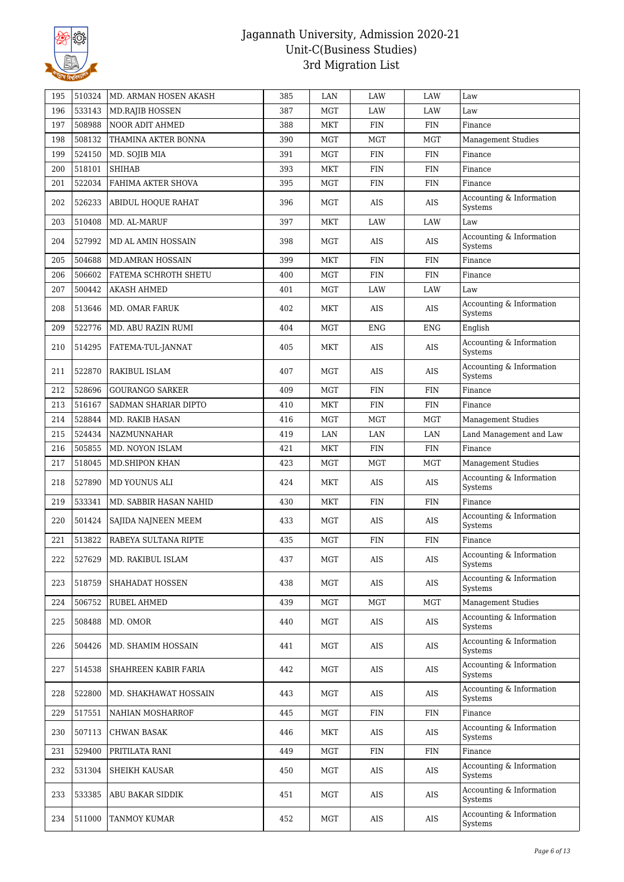

| 195 | 510324 | MD. ARMAN HOSEN AKASH   | 385 | LAN        | LAW        | LAW        | Law                                 |
|-----|--------|-------------------------|-----|------------|------------|------------|-------------------------------------|
| 196 | 533143 | <b>MD.RAJIB HOSSEN</b>  | 387 | MGT        | LAW        | LAW        | Law                                 |
| 197 | 508988 | NOOR ADIT AHMED         | 388 | <b>MKT</b> | <b>FIN</b> | <b>FIN</b> | Finance                             |
| 198 | 508132 | THAMINA AKTER BONNA     | 390 | MGT        | MGT        | <b>MGT</b> | <b>Management Studies</b>           |
| 199 | 524150 | MD. SOJIB MIA           | 391 | MGT        | <b>FIN</b> | <b>FIN</b> | Finance                             |
| 200 | 518101 | <b>SHIHAB</b>           | 393 | MKT        | <b>FIN</b> | <b>FIN</b> | Finance                             |
| 201 | 522034 | FAHIMA AKTER SHOVA      | 395 | MGT        | <b>FIN</b> | <b>FIN</b> | Finance                             |
| 202 | 526233 | ABIDUL HOQUE RAHAT      | 396 | MGT        | AIS        | <b>AIS</b> | Accounting & Information<br>Systems |
| 203 | 510408 | MD. AL-MARUF            | 397 | <b>MKT</b> | LAW        | LAW        | Law                                 |
| 204 | 527992 | MD AL AMIN HOSSAIN      | 398 | MGT        | AIS        | AIS        | Accounting & Information<br>Systems |
| 205 | 504688 | <b>MD.AMRAN HOSSAIN</b> | 399 | MKT        | <b>FIN</b> | <b>FIN</b> | Finance                             |
| 206 | 506602 | FATEMA SCHROTH SHETU    | 400 | MGT        | <b>FIN</b> | <b>FIN</b> | Finance                             |
| 207 | 500442 | AKASH AHMED             | 401 | MGT        | LAW        | LAW        | Law                                 |
| 208 | 513646 | <b>MD. OMAR FARUK</b>   | 402 | MKT        | AIS        | AIS        | Accounting & Information<br>Systems |
| 209 | 522776 | MD. ABU RAZIN RUMI      | 404 | MGT        | ENG        | <b>ENG</b> | English                             |
| 210 | 514295 | FATEMA-TUL-JANNAT       | 405 | MKT        | AIS        | <b>AIS</b> | Accounting & Information<br>Systems |
| 211 | 522870 | RAKIBUL ISLAM           | 407 | MGT        | AIS        | AIS        | Accounting & Information<br>Systems |
| 212 | 528696 | <b>GOURANGO SARKER</b>  | 409 | MGT        | <b>FIN</b> | <b>FIN</b> | Finance                             |
| 213 | 516167 | SADMAN SHARIAR DIPTO    | 410 | <b>MKT</b> | FIN        | <b>FIN</b> | Finance                             |
| 214 | 528844 | MD. RAKIB HASAN         | 416 | MGT        | MGT        | MGT        | <b>Management Studies</b>           |
| 215 | 524434 | NAZMUNNAHAR             | 419 | LAN        | LAN        | LAN        | Land Management and Law             |
| 216 | 505855 | MD. NOYON ISLAM         | 421 | MKT        | <b>FIN</b> | <b>FIN</b> | Finance                             |
| 217 | 518045 | MD. SHIPON KHAN         | 423 | MGT        | MGT        | <b>MGT</b> | Management Studies                  |
| 218 | 527890 | MD YOUNUS ALI           | 424 | MKT        | AIS        | AIS        | Accounting & Information<br>Systems |
| 219 | 533341 | MD. SABBIR HASAN NAHID  | 430 | MKT        | <b>FIN</b> | <b>FIN</b> | Finance                             |
| 220 | 501424 | SAJIDA NAJNEEN MEEM     | 433 | MGT        | AIS        | AIS        | Accounting & Information<br>Systems |
| 221 | 513822 | RABEYA SULTANA RIPTE    | 435 | MGT        | FIN        | <b>FIN</b> | Finance                             |
| 222 | 527629 | MD. RAKIBUL ISLAM       | 437 | MGT        | $\rm AIS$  | AIS        | Accounting & Information<br>Systems |
| 223 | 518759 | SHAHADAT HOSSEN         | 438 | MGT        | AIS        | AIS        | Accounting & Information<br>Systems |
| 224 | 506752 | RUBEL AHMED             | 439 | MGT        | MGT        | MGT        | Management Studies                  |
| 225 | 508488 | MD. OMOR                | 440 | MGT        | AIS        | AIS        | Accounting & Information<br>Systems |
| 226 | 504426 | MD. SHAMIM HOSSAIN      | 441 | MGT        | AIS        | AIS        | Accounting & Information<br>Systems |
| 227 | 514538 | SHAHREEN KABIR FARIA    | 442 | MGT        | AIS        | AIS        | Accounting & Information<br>Systems |
| 228 | 522800 | MD. SHAKHAWAT HOSSAIN   | 443 | MGT        | AIS        | AIS        | Accounting & Information<br>Systems |
| 229 | 517551 | NAHIAN MOSHARROF        | 445 | MGT        | FIN        | <b>FIN</b> | Finance                             |
| 230 | 507113 | CHWAN BASAK             | 446 | MKT        | AIS        | AIS        | Accounting & Information<br>Systems |
| 231 | 529400 | PRITILATA RANI          | 449 | MGT        | <b>FIN</b> | <b>FIN</b> | Finance                             |
| 232 | 531304 | SHEIKH KAUSAR           | 450 | MGT        | AIS        | AIS        | Accounting & Information<br>Systems |
| 233 | 533385 | ABU BAKAR SIDDIK        | 451 | MGT        | AIS        | AIS        | Accounting & Information<br>Systems |
| 234 | 511000 | TANMOY KUMAR            | 452 | MGT        | AIS        | AIS        | Accounting & Information<br>Systems |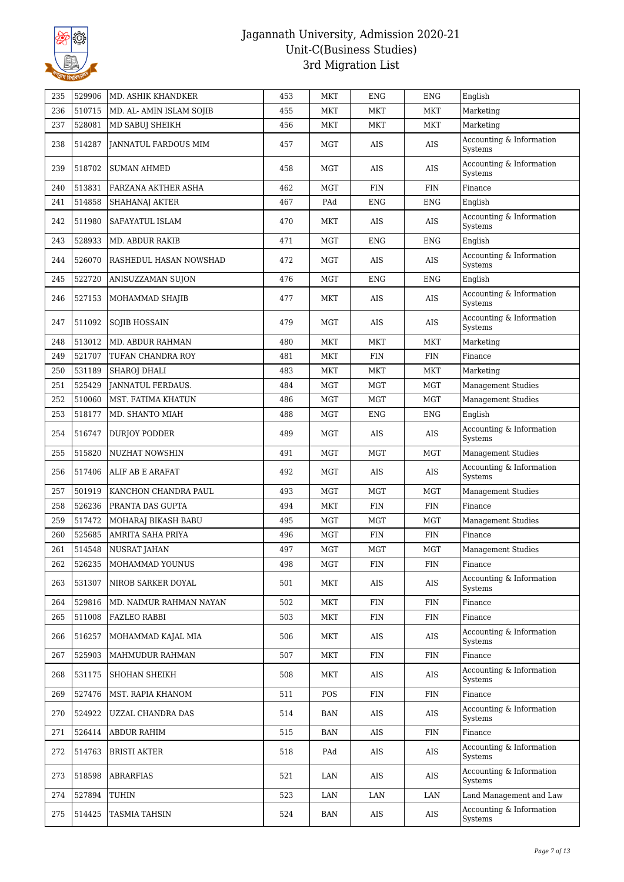

| 235 | 529906 | MD. ASHIK KHANDKER          | 453 | <b>MKT</b> | <b>ENG</b> | <b>ENG</b> | English                             |
|-----|--------|-----------------------------|-----|------------|------------|------------|-------------------------------------|
| 236 | 510715 | MD. AL- AMIN ISLAM SOJIB    | 455 | MKT        | MKT        | MKT        | Marketing                           |
| 237 | 528081 | MD SABUJ SHEIKH             | 456 | MKT        | MKT        | MKT        | Marketing                           |
| 238 | 514287 | <b>JANNATUL FARDOUS MIM</b> | 457 | <b>MGT</b> | AIS        | <b>AIS</b> | Accounting & Information<br>Systems |
| 239 | 518702 | <b>SUMAN AHMED</b>          | 458 | MGT        | AIS        | AIS        | Accounting & Information<br>Systems |
| 240 | 513831 | FARZANA AKTHER ASHA         | 462 | <b>MGT</b> | <b>FIN</b> | <b>FIN</b> | Finance                             |
| 241 | 514858 | SHAHANAJ AKTER              | 467 | PAd        | ENG        | <b>ENG</b> | English                             |
| 242 | 511980 | SAFAYATUL ISLAM             | 470 | MKT        | AIS        | <b>AIS</b> | Accounting & Information<br>Systems |
| 243 | 528933 | <b>MD. ABDUR RAKIB</b>      | 471 | <b>MGT</b> | ENG        | ENG        | English                             |
| 244 | 526070 | RASHEDUL HASAN NOWSHAD      | 472 | MGT        | AIS        | <b>AIS</b> | Accounting & Information<br>Systems |
| 245 | 522720 | ANISUZZAMAN SUJON           | 476 | <b>MGT</b> | <b>ENG</b> | <b>ENG</b> | English                             |
| 246 | 527153 | MOHAMMAD SHAJIB             | 477 | MKT        | AIS        | AIS        | Accounting & Information<br>Systems |
| 247 | 511092 | <b>SOJIB HOSSAIN</b>        | 479 | MGT        | AIS        | <b>AIS</b> | Accounting & Information<br>Systems |
| 248 | 513012 | MD. ABDUR RAHMAN            | 480 | MKT        | MKT        | MKT        | Marketing                           |
| 249 | 521707 | TUFAN CHANDRA ROY           | 481 | <b>MKT</b> | <b>FIN</b> | <b>FIN</b> | Finance                             |
| 250 | 531189 | SHAROJ DHALI                | 483 | MKT        | MKT        | MKT        | Marketing                           |
| 251 | 525429 | JANNATUL FERDAUS.           | 484 | <b>MGT</b> | MGT        | MGT        | <b>Management Studies</b>           |
| 252 | 510060 | MST. FATIMA KHATUN          | 486 | <b>MGT</b> | MGT        | <b>MGT</b> | <b>Management Studies</b>           |
| 253 | 518177 | MD. SHANTO MIAH             | 488 | <b>MGT</b> | <b>ENG</b> | <b>ENG</b> | English                             |
| 254 | 516747 | DURJOY PODDER               | 489 | MGT        | AIS        | AIS        | Accounting & Information<br>Systems |
| 255 | 515820 | NUZHAT NOWSHIN              | 491 | <b>MGT</b> | MGT        | MGT        | <b>Management Studies</b>           |
| 256 | 517406 | ALIF AB E ARAFAT            | 492 | <b>MGT</b> | AIS        | AIS        | Accounting & Information<br>Systems |
| 257 | 501919 | KANCHON CHANDRA PAUL        | 493 | <b>MGT</b> | <b>MGT</b> | MGT        | Management Studies                  |
| 258 | 526236 | PRANTA DAS GUPTA            | 494 | MKT        | <b>FIN</b> | <b>FIN</b> | Finance                             |
| 259 | 517472 | MOHARAJ BIKASH BABU         | 495 | <b>MGT</b> | <b>MGT</b> | MGT        | Management Studies                  |
| 260 | 525685 | AMRITA SAHA PRIYA           | 496 | <b>MGT</b> | <b>FIN</b> | <b>FIN</b> | Finance                             |
| 261 | 514548 | <b>NUSRAT JAHAN</b>         | 497 | <b>MGT</b> | <b>MGT</b> | <b>MGT</b> | <b>Management Studies</b>           |
| 262 | 526235 | MOHAMMAD YOUNUS             | 498 | <b>MGT</b> | FIN        | <b>FIN</b> | Finance                             |
| 263 | 531307 | NIROB SARKER DOYAL          | 501 | MKT        | AIS        | AIS        | Accounting & Information<br>Systems |
| 264 | 529816 | MD. NAIMUR RAHMAN NAYAN     | 502 | MKT        | FIN        | <b>FIN</b> | Finance                             |
| 265 | 511008 | <b>FAZLEO RABBI</b>         | 503 | <b>MKT</b> | <b>FIN</b> | FIN        | Finance                             |
| 266 | 516257 | MOHAMMAD KAJAL MIA          | 506 | MKT        | AIS        | AIS        | Accounting & Information<br>Systems |
| 267 | 525903 | MAHMUDUR RAHMAN             | 507 | MKT        | FIN        | <b>FIN</b> | Finance                             |
| 268 | 531175 | <b>SHOHAN SHEIKH</b>        | 508 | MKT        | AIS        | AIS        | Accounting & Information<br>Systems |
| 269 | 527476 | MST. RAPIA KHANOM           | 511 | POS        | <b>FIN</b> | <b>FIN</b> | Finance                             |
| 270 | 524922 | UZZAL CHANDRA DAS           | 514 | BAN        | AIS        | AIS        | Accounting & Information<br>Systems |
| 271 | 526414 | <b>ABDUR RAHIM</b>          | 515 | <b>BAN</b> | AIS        | <b>FIN</b> | Finance                             |
| 272 | 514763 | <b>BRISTI AKTER</b>         | 518 | PAd        | AIS        | AIS        | Accounting & Information<br>Systems |
| 273 | 518598 | <b>ABRARFIAS</b>            | 521 | LAN        | AIS        | AIS        | Accounting & Information<br>Systems |
| 274 | 527894 | TUHIN                       | 523 | LAN        | LAN        | LAN        | Land Management and Law             |
| 275 | 514425 | TASMIA TAHSIN               | 524 | BAN        | AIS        | AIS        | Accounting & Information<br>Systems |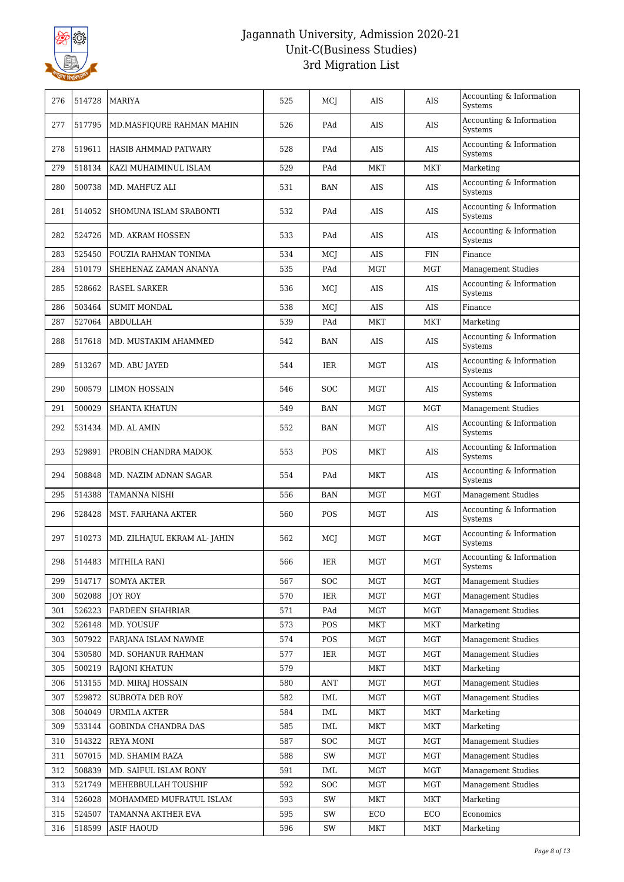

| 276 | 514728 | MARIYA                       | 525 | MCI        | AIS        | AIS        | Accounting & Information<br>Systems        |
|-----|--------|------------------------------|-----|------------|------------|------------|--------------------------------------------|
| 277 | 517795 | MD.MASFIQURE RAHMAN MAHIN    | 526 | PAd        | AIS        | AIS        | Accounting & Information<br>Systems        |
| 278 | 519611 | HASIB AHMMAD PATWARY         | 528 | PAd        | <b>AIS</b> | <b>AIS</b> | Accounting & Information<br>Systems        |
| 279 | 518134 | KAZI MUHAIMINUL ISLAM        | 529 | PAd        | <b>MKT</b> | <b>MKT</b> | Marketing                                  |
| 280 | 500738 | MD. MAHFUZ ALI               | 531 | BAN        | AIS        | AIS        | Accounting & Information<br>Systems        |
| 281 | 514052 | SHOMUNA ISLAM SRABONTI       | 532 | PAd        | AIS        | AIS        | Accounting & Information<br><b>Systems</b> |
| 282 | 524726 | MD. AKRAM HOSSEN             | 533 | PAd        | AIS        | AIS        | Accounting & Information<br>Systems        |
| 283 | 525450 | FOUZIA RAHMAN TONIMA         | 534 | MCJ        | AIS        | <b>FIN</b> | Finance                                    |
| 284 | 510179 | SHEHENAZ ZAMAN ANANYA        | 535 | PAd        | <b>MGT</b> | <b>MGT</b> | <b>Management Studies</b>                  |
| 285 | 528662 | <b>RASEL SARKER</b>          | 536 | MCJ        | AIS        | AIS        | Accounting & Information<br>Systems        |
| 286 | 503464 | <b>SUMIT MONDAL</b>          | 538 | MCJ        | <b>AIS</b> | AIS        | Finance                                    |
| 287 | 527064 | ABDULLAH                     | 539 | PAd        | MKT        | <b>MKT</b> | Marketing                                  |
| 288 | 517618 | MD. MUSTAKIM AHAMMED         | 542 | BAN        | AIS        | AIS        | Accounting & Information<br>Systems        |
| 289 | 513267 | MD. ABU JAYED                | 544 | IER        | MGT        | AIS        | Accounting & Information<br>Systems        |
| 290 | 500579 | LIMON HOSSAIN                | 546 | <b>SOC</b> | MGT        | AIS        | Accounting & Information<br>Systems        |
| 291 | 500029 | SHANTA KHATUN                | 549 | BAN        | MGT        | <b>MGT</b> | <b>Management Studies</b>                  |
| 292 | 531434 | MD. AL AMIN                  | 552 | <b>BAN</b> | <b>MGT</b> | <b>AIS</b> | Accounting & Information<br>Systems        |
| 293 | 529891 | PROBIN CHANDRA MADOK         | 553 | <b>POS</b> | MKT        | AIS        | Accounting & Information<br>Systems        |
| 294 | 508848 | MD. NAZIM ADNAN SAGAR        | 554 | PAd        | MKT        | AIS        | Accounting & Information<br>Systems        |
| 295 | 514388 | TAMANNA NISHI                | 556 | BAN        | MGT        | <b>MGT</b> | <b>Management Studies</b>                  |
| 296 | 528428 | MST. FARHANA AKTER           | 560 | <b>POS</b> | MGT        | <b>AIS</b> | Accounting & Information<br><b>Systems</b> |
| 297 | 510273 | MD. ZILHAJUL EKRAM AL- JAHIN | 562 | MCJ        | MGT        | <b>MGT</b> | Accounting & Information<br>Systems        |
| 298 | 514483 | <b>MITHILA RANI</b>          | 566 | $\rm IER$  | $\rm MGT$  | MGT        | Accounting & Information<br>Systems        |
| 299 | 514717 | <b>SOMYA AKTER</b>           | 567 | <b>SOC</b> | MGT        | <b>MGT</b> | <b>Management Studies</b>                  |
| 300 | 502088 | <b>JOY ROY</b>               | 570 | IER        | MGT        | MGT        | <b>Management Studies</b>                  |
| 301 | 526223 | <b>FARDEEN SHAHRIAR</b>      | 571 | PAd        | MGT        | MGT        | <b>Management Studies</b>                  |
| 302 | 526148 | MD. YOUSUF                   | 573 | POS        | MKT        | MKT        | Marketing                                  |
| 303 | 507922 | FARJANA ISLAM NAWME          | 574 | POS        | MGT        | MGT        | <b>Management Studies</b>                  |
| 304 | 530580 | MD. SOHANUR RAHMAN           | 577 | IER        | MGT        | MGT        | <b>Management Studies</b>                  |
| 305 | 500219 | RAJONI KHATUN                | 579 |            | MKT        | MKT        | Marketing                                  |
| 306 | 513155 | MD. MIRAJ HOSSAIN            | 580 | <b>ANT</b> | MGT        | MGT        | <b>Management Studies</b>                  |
| 307 | 529872 | SUBROTA DEB ROY              | 582 | IML        | MGT        | MGT        | <b>Management Studies</b>                  |
| 308 | 504049 | URMILA AKTER                 | 584 | IML        | MKT        | <b>MKT</b> | Marketing                                  |
| 309 | 533144 | <b>GOBINDA CHANDRA DAS</b>   | 585 | IML        | MKT        | MKT        | Marketing                                  |
| 310 | 514322 | <b>REYA MONI</b>             | 587 | <b>SOC</b> | MGT        | MGT        | <b>Management Studies</b>                  |
| 311 | 507015 | MD. SHAMIM RAZA              | 588 | SW         | MGT        | MGT        | <b>Management Studies</b>                  |
| 312 | 508839 | MD. SAIFUL ISLAM RONY        | 591 | IML        | MGT        | MGT        | <b>Management Studies</b>                  |
| 313 | 521749 | MEHEBBULLAH TOUSHIF          | 592 | <b>SOC</b> | MGT        | MGT        | <b>Management Studies</b>                  |
| 314 | 526028 | MOHAMMED MUFRATUL ISLAM      | 593 | SW         | MKT        | MKT        | Marketing                                  |
| 315 | 524507 | TAMANNA AKTHER EVA           | 595 | SW         | ECO        | ECO        | Economics                                  |
| 316 | 518599 | <b>ASIF HAOUD</b>            | 596 | SW         | MKT        | <b>MKT</b> | Marketing                                  |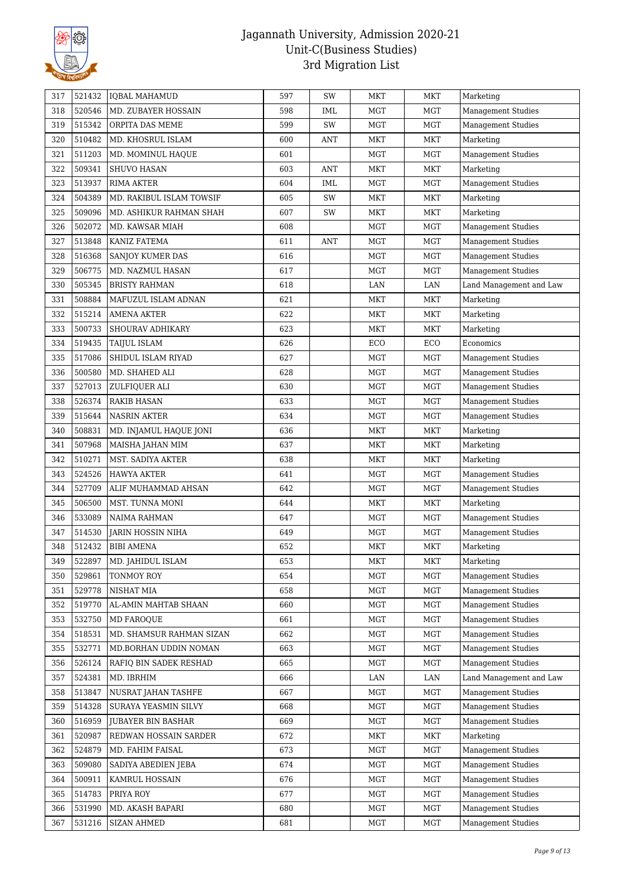

| 317 | 521432 | IQBAL MAHAMUD            | 597 | SW         | MKT        | MKT        | Marketing                 |
|-----|--------|--------------------------|-----|------------|------------|------------|---------------------------|
| 318 | 520546 | MD. ZUBAYER HOSSAIN      | 598 | IML        | MGT        | <b>MGT</b> | <b>Management Studies</b> |
| 319 | 515342 | ORPITA DAS MEME          | 599 | SW         | <b>MGT</b> | MGT        | <b>Management Studies</b> |
| 320 | 510482 | MD. KHOSRUL ISLAM        | 600 | ANT        | MKT        | <b>MKT</b> | Marketing                 |
| 321 | 511203 | MD. MOMINUL HAQUE        | 601 |            | MGT        | <b>MGT</b> | <b>Management Studies</b> |
| 322 | 509341 | SHUVO HASAN              | 603 | <b>ANT</b> | <b>MKT</b> | <b>MKT</b> | Marketing                 |
| 323 | 513937 | RIMA AKTER               | 604 | IML        | MGT        | MGT        | <b>Management Studies</b> |
| 324 | 504389 | MD. RAKIBUL ISLAM TOWSIF | 605 | SW         | MKT        | <b>MKT</b> | Marketing                 |
| 325 | 509096 | MD. ASHIKUR RAHMAN SHAH  | 607 | SW         | MKT        | <b>MKT</b> | Marketing                 |
| 326 | 502072 | MD. KAWSAR MIAH          | 608 |            | <b>MGT</b> | MGT        | <b>Management Studies</b> |
| 327 | 513848 | KANIZ FATEMA             | 611 | <b>ANT</b> | MGT        | MGT        | <b>Management Studies</b> |
| 328 | 516368 | <b>SANJOY KUMER DAS</b>  | 616 |            | MGT        | MGT        | <b>Management Studies</b> |
| 329 | 506775 | MD. NAZMUL HASAN         | 617 |            | <b>MGT</b> | <b>MGT</b> | <b>Management Studies</b> |
| 330 | 505345 | <b>BRISTY RAHMAN</b>     | 618 |            | LAN        | LAN        | Land Management and Law   |
| 331 | 508884 | MAFUZUL ISLAM ADNAN      | 621 |            | MKT        | <b>MKT</b> | Marketing                 |
| 332 | 515214 | <b>AMENA AKTER</b>       | 622 |            | MKT        | MKT        | Marketing                 |
| 333 | 500733 | SHOURAV ADHIKARY         | 623 |            | MKT        | MKT        | Marketing                 |
| 334 | 519435 | TAIJUL ISLAM             | 626 |            | ECO        | ECO        | Economics                 |
| 335 | 517086 | SHIDUL ISLAM RIYAD       | 627 |            | MGT        | MGT        | <b>Management Studies</b> |
| 336 | 500580 | MD. SHAHED ALI           | 628 |            | <b>MGT</b> | <b>MGT</b> | <b>Management Studies</b> |
| 337 | 527013 | ZULFIQUER ALI            | 630 |            | MGT        | MGT        | <b>Management Studies</b> |
| 338 | 526374 | <b>RAKIB HASAN</b>       | 633 |            | <b>MGT</b> | <b>MGT</b> | <b>Management Studies</b> |
| 339 | 515644 | <b>NASRIN AKTER</b>      | 634 |            | MGT        | MGT        | <b>Management Studies</b> |
| 340 | 508831 | MD. INJAMUL HAQUE JONI   | 636 |            | MKT        | <b>MKT</b> | Marketing                 |
| 341 | 507968 | MAISHA JAHAN MIM         | 637 |            | MKT        | MKT        | Marketing                 |
| 342 | 510271 | MST. SADIYA AKTER        | 638 |            | MKT        | MKT        | Marketing                 |
| 343 | 524526 | <b>HAWYA AKTER</b>       | 641 |            | <b>MGT</b> | MGT        | Management Studies        |
| 344 | 527709 | ALIF MUHAMMAD AHSAN      | 642 |            | <b>MGT</b> | <b>MGT</b> | Management Studies        |
| 345 | 506500 | MST. TUNNA MONI          | 644 |            | MKT        | MKT        | Marketing                 |
| 346 | 533089 | <b>NAIMA RAHMAN</b>      | 647 |            | <b>MGT</b> | MGT        | Management Studies        |
| 347 | 514530 | <b>JARIN HOSSIN NIHA</b> | 649 |            | MGT        | <b>MGT</b> | <b>Management Studies</b> |
| 348 | 512432 | <b>BIBI AMENA</b>        | 652 |            | MKT        | MKT        | Marketing                 |
| 349 | 522897 | MD. JAHIDUL ISLAM        | 653 |            | MKT        | MKT        | Marketing                 |
| 350 | 529861 | TONMOY ROY               | 654 |            | MGT        | <b>MGT</b> | <b>Management Studies</b> |
| 351 | 529778 | NISHAT MIA               | 658 |            | <b>MGT</b> | <b>MGT</b> | <b>Management Studies</b> |
| 352 | 519770 | AL-AMIN MAHTAB SHAAN     | 660 |            | <b>MGT</b> | <b>MGT</b> | <b>Management Studies</b> |
| 353 | 532750 | MD FAROQUE               | 661 |            | MGT        | MGT        | <b>Management Studies</b> |
| 354 | 518531 | MD. SHAMSUR RAHMAN SIZAN | 662 |            | <b>MGT</b> | <b>MGT</b> | Management Studies        |
| 355 | 532771 | MD.BORHAN UDDIN NOMAN    | 663 |            | <b>MGT</b> | MGT        | <b>Management Studies</b> |
| 356 | 526124 | RAFIQ BIN SADEK RESHAD   | 665 |            | <b>MGT</b> | MGT        | <b>Management Studies</b> |
| 357 | 524381 | MD. IBRHIM               | 666 |            | LAN        | LAN        | Land Management and Law   |
| 358 | 513847 | NUSRAT JAHAN TASHFE      | 667 |            | <b>MGT</b> | MGT        | <b>Management Studies</b> |
| 359 | 514328 | SURAYA YEASMIN SILVY     | 668 |            | <b>MGT</b> | <b>MGT</b> | <b>Management Studies</b> |
| 360 | 516959 | JUBAYER BIN BASHAR       | 669 |            | <b>MGT</b> | <b>MGT</b> | <b>Management Studies</b> |
| 361 | 520987 | REDWAN HOSSAIN SARDER    | 672 |            | MKT        | MKT        | Marketing                 |
| 362 | 524879 | MD. FAHIM FAISAL         | 673 |            | <b>MGT</b> | MGT        | <b>Management Studies</b> |
| 363 | 509080 | SADIYA ABEDIEN JEBA      | 674 |            | <b>MGT</b> | MGT        | <b>Management Studies</b> |
| 364 | 500911 | KAMRUL HOSSAIN           | 676 |            | <b>MGT</b> | <b>MGT</b> | <b>Management Studies</b> |
| 365 | 514783 | PRIYA ROY                | 677 |            | <b>MGT</b> | <b>MGT</b> | Management Studies        |
| 366 | 531990 | MD. AKASH BAPARI         | 680 |            | <b>MGT</b> | <b>MGT</b> | <b>Management Studies</b> |
| 367 | 531216 | SIZAN AHMED              | 681 |            | <b>MGT</b> | <b>MGT</b> | <b>Management Studies</b> |
|     |        |                          |     |            |            |            |                           |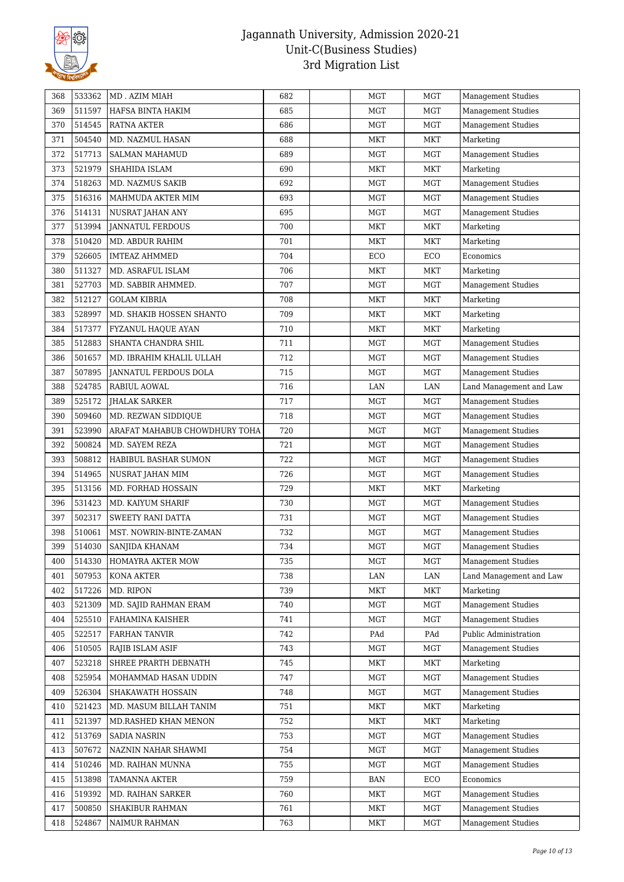

| 511597<br>369<br>HAFSA BINTA HAKIM<br>685<br>MGT<br>MGT<br><b>Management Studies</b><br>370<br>514545<br>686<br><b>RATNA AKTER</b><br>MGT<br><b>MGT</b><br><b>Management Studies</b><br>504540<br>371<br>MD. NAZMUL HASAN<br>688<br>MKT<br>MKT<br>Marketing |  |
|-------------------------------------------------------------------------------------------------------------------------------------------------------------------------------------------------------------------------------------------------------------|--|
|                                                                                                                                                                                                                                                             |  |
|                                                                                                                                                                                                                                                             |  |
|                                                                                                                                                                                                                                                             |  |
| 517713<br>372<br>689<br>MGT<br>MGT<br><b>Management Studies</b><br><b>SALMAN MAHAMUD</b>                                                                                                                                                                    |  |
| 373<br>521979<br>SHAHIDA ISLAM<br>690<br>MKT<br>MKT<br>Marketing                                                                                                                                                                                            |  |
| 518263<br>374<br>MD. NAZMUS SAKIB<br>692<br>MGT<br>MGT<br><b>Management Studies</b>                                                                                                                                                                         |  |
| 516316<br>375<br>693<br><b>MGT</b><br><b>MGT</b><br><b>Management Studies</b><br>MAHMUDA AKTER MIM                                                                                                                                                          |  |
| <b>MGT</b><br>376<br>514131<br>695<br>MGT<br><b>Management Studies</b><br>NUSRAT JAHAN ANY                                                                                                                                                                  |  |
| 377<br>513994<br>700<br>MKT<br>MKT<br>JANNATUL FERDOUS<br>Marketing                                                                                                                                                                                         |  |
| 510420<br>378<br>MD. ABDUR RAHIM<br>701<br>MKT<br><b>MKT</b><br>Marketing                                                                                                                                                                                   |  |
| 379<br>526605<br>ECO<br>Economics<br><b>IMTEAZ AHMMED</b><br>704<br>ECO                                                                                                                                                                                     |  |
| 511327<br>MD. ASRAFUL ISLAM<br>706<br>MKT<br><b>MKT</b><br>380<br>Marketing                                                                                                                                                                                 |  |
| 527703<br>381<br>MD. SABBIR AHMMED.<br>707<br>MGT<br>MGT<br><b>Management Studies</b>                                                                                                                                                                       |  |
| 382<br>512127<br><b>GOLAM KIBRIA</b><br>708<br><b>MKT</b><br>Marketing<br>MKT                                                                                                                                                                               |  |
| 528997<br>383<br>709<br>Marketing<br>MD. SHAKIB HOSSEN SHANTO<br>MKT<br>MKT                                                                                                                                                                                 |  |
| 517377<br>384<br>710<br>MKT<br>Marketing<br>FYZANUL HAQUE AYAN<br>MKT                                                                                                                                                                                       |  |
| 385<br>512883<br>711<br>MGT<br>Management Studies<br>SHANTA CHANDRA SHIL<br>MGT                                                                                                                                                                             |  |
| 386<br>501657<br>MGT<br>712<br>MGT<br><b>Management Studies</b><br>MD. IBRAHIM KHALIL ULLAH                                                                                                                                                                 |  |
| 507895<br>387<br>715<br>MGT<br>MGT<br><b>Management Studies</b><br>JANNATUL FERDOUS DOLA                                                                                                                                                                    |  |
| 524785<br>388<br>RABIUL AOWAL<br>716<br>LAN<br>LAN<br>Land Management and Law                                                                                                                                                                               |  |
| 389<br>525172<br><b>JHALAK SARKER</b><br>717<br>MGT<br><b>MGT</b><br><b>Management Studies</b>                                                                                                                                                              |  |
| 390<br>509460<br>718<br><b>MGT</b><br><b>MGT</b><br>MD. REZWAN SIDDIQUE<br><b>Management Studies</b>                                                                                                                                                        |  |
| 523990<br>391<br>ARAFAT MAHABUB CHOWDHURY TOHA<br>720<br>MGT<br>MGT<br><b>Management Studies</b>                                                                                                                                                            |  |
| 500824<br><b>MGT</b><br>392<br>MD. SAYEM REZA<br>721<br>MGT<br><b>Management Studies</b>                                                                                                                                                                    |  |
| 508812<br>393<br>722<br>MGT<br><b>MGT</b><br><b>Management Studies</b><br>HABIBUL BASHAR SUMON                                                                                                                                                              |  |
| 514965<br>394<br>726<br><b>MGT</b><br><b>MGT</b><br><b>Management Studies</b><br>NUSRAT JAHAN MIM                                                                                                                                                           |  |
| 513156<br>395<br>MD. FORHAD HOSSAIN<br>729<br>MKT<br>Marketing<br>MKT                                                                                                                                                                                       |  |
| 531423<br>396<br>730<br>MGT<br>MGT<br>MD. KAIYUM SHARIF<br><b>Management Studies</b>                                                                                                                                                                        |  |
| 502317<br>397<br>SWEETY RANI DATTA<br>731<br>MGT<br>MGT<br><b>Management Studies</b>                                                                                                                                                                        |  |
| 398<br>510061<br>732<br>MGT<br>MGT<br>MST. NOWRIN-BINTE-ZAMAN<br><b>Management Studies</b>                                                                                                                                                                  |  |
| 514030<br>399<br>734<br>MGT<br><b>MGT</b><br>SANJIDA KHANAM<br><b>Management Studies</b>                                                                                                                                                                    |  |
| 400<br>514330<br>HOMAYRA AKTER MOW<br>735<br>MGT<br>MGT<br><b>Management Studies</b>                                                                                                                                                                        |  |
| 507953<br>401<br>KONA AKTER<br>738<br>LAN<br>LAN<br>Land Management and Law                                                                                                                                                                                 |  |
| 517226<br>MD. RIPON<br>402<br>739<br><b>MKT</b><br>MKT<br>Marketing                                                                                                                                                                                         |  |
| 521309<br><b>Management Studies</b><br>MD. SAJID RAHMAN ERAM<br><b>MGT</b><br><b>MGT</b><br>403<br>740                                                                                                                                                      |  |
| 525510<br>FAHAMINA KAISHER<br>741<br><b>MGT</b><br><b>MGT</b><br><b>Management Studies</b><br>404                                                                                                                                                           |  |
| 522517<br>405<br><b>FARHAN TANVIR</b><br>742<br>PAd<br>PAd<br>Public Administration                                                                                                                                                                         |  |
| 510505<br><b>MGT</b><br><b>MGT</b><br><b>Management Studies</b><br>406<br>RAJIB ISLAM ASIF<br>743                                                                                                                                                           |  |
| 523218<br>407<br>SHREE PRARTH DEBNATH<br>745<br><b>MKT</b><br>MKT<br>Marketing                                                                                                                                                                              |  |
| 525954<br><b>MGT</b><br><b>Management Studies</b><br>408<br>MOHAMMAD HASAN UDDIN<br>747<br>MGT                                                                                                                                                              |  |
| 526304<br>409<br>SHAKAWATH HOSSAIN<br>748<br><b>MGT</b><br><b>MGT</b><br><b>Management Studies</b>                                                                                                                                                          |  |
| 521423<br>MD. MASUM BILLAH TANIM<br><b>MKT</b><br>MKT<br>Marketing<br>410<br>751                                                                                                                                                                            |  |
| 521397<br>752<br><b>MKT</b><br>Marketing<br>411<br>MD.RASHED KHAN MENON<br>MKT                                                                                                                                                                              |  |
| 513769<br><b>SADIA NASRIN</b><br><b>MGT</b><br><b>MGT</b><br>Management Studies<br>412<br>753                                                                                                                                                               |  |
| 507672<br>413<br>NAZNIN NAHAR SHAWMI<br><b>MGT</b><br>MGT<br><b>Management Studies</b><br>754                                                                                                                                                               |  |
| 510246<br>MGT<br>414<br>MD. RAIHAN MUNNA<br>755<br><b>MGT</b><br><b>Management Studies</b>                                                                                                                                                                  |  |
| 513898<br><b>TAMANNA AKTER</b><br>759<br><b>BAN</b><br>ECO<br>Economics<br>415                                                                                                                                                                              |  |
| 519392<br>MD. RAIHAN SARKER<br>760<br><b>MKT</b><br><b>MGT</b><br><b>Management Studies</b><br>416                                                                                                                                                          |  |
| 500850<br>MGT<br>417<br>SHAKIBUR RAHMAN<br>761<br><b>MKT</b><br><b>Management Studies</b>                                                                                                                                                                   |  |
| 524867<br>NAIMUR RAHMAN<br>763<br><b>MKT</b><br><b>MGT</b><br>418<br><b>Management Studies</b>                                                                                                                                                              |  |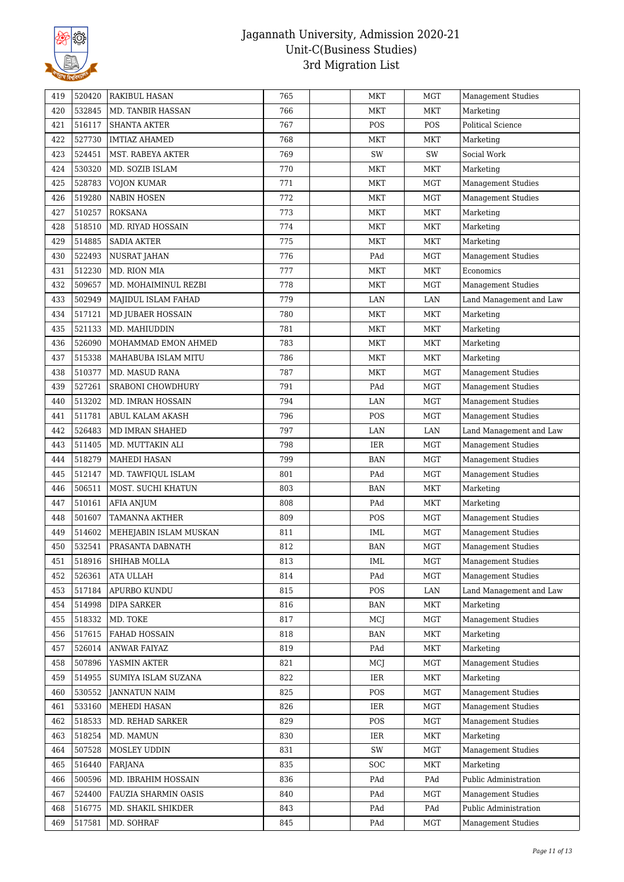

| 419 | 520420 | RAKIBUL HASAN            | 765 | MKT        | MGT        | <b>Management Studies</b> |
|-----|--------|--------------------------|-----|------------|------------|---------------------------|
| 420 | 532845 | MD. TANBIR HASSAN        | 766 | MKT        | <b>MKT</b> | Marketing                 |
| 421 | 516117 | <b>SHANTA AKTER</b>      | 767 | POS        | POS        | Political Science         |
| 422 | 527730 | <b>IMTIAZ AHAMED</b>     | 768 | MKT        | MKT        | Marketing                 |
| 423 | 524451 | <b>MST. RABEYA AKTER</b> | 769 | SW         | SW         | Social Work               |
| 424 | 530320 | MD. SOZIB ISLAM          | 770 | <b>MKT</b> | MKT        | Marketing                 |
| 425 | 528783 | <b>VOJON KUMAR</b>       | 771 | MKT        | MGT        | <b>Management Studies</b> |
| 426 | 519280 | <b>NABIN HOSEN</b>       | 772 | <b>MKT</b> | MGT        | <b>Management Studies</b> |
| 427 | 510257 | <b>ROKSANA</b>           | 773 | MKT        | <b>MKT</b> | Marketing                 |
| 428 | 518510 | MD. RIYAD HOSSAIN        | 774 | MKT        | <b>MKT</b> | Marketing                 |
| 429 | 514885 | <b>SADIA AKTER</b>       | 775 | MKT        | MKT        | Marketing                 |
| 430 | 522493 | <b>NUSRAT JAHAN</b>      | 776 | PAd        | <b>MGT</b> | <b>Management Studies</b> |
| 431 | 512230 | MD. RION MIA             | 777 | MKT        | MKT        | Economics                 |
| 432 | 509657 | MD. MOHAIMINUL REZBI     | 778 | <b>MKT</b> | <b>MGT</b> | Management Studies        |
| 433 | 502949 | MAJIDUL ISLAM FAHAD      | 779 | LAN        | LAN        | Land Management and Law   |
| 434 | 517121 | MD JUBAER HOSSAIN        | 780 | <b>MKT</b> | <b>MKT</b> | Marketing                 |
| 435 | 521133 | MD. MAHIUDDIN            | 781 | <b>MKT</b> | <b>MKT</b> | Marketing                 |
| 436 | 526090 | MOHAMMAD EMON AHMED      | 783 | MKT        | MKT        | Marketing                 |
| 437 | 515338 | MAHABUBA ISLAM MITU      | 786 | MKT        | MKT        | Marketing                 |
| 438 | 510377 | MD. MASUD RANA           | 787 | <b>MKT</b> | MGT        | <b>Management Studies</b> |
| 439 | 527261 | SRABONI CHOWDHURY        | 791 | PAd        | MGT        | <b>Management Studies</b> |
| 440 | 513202 | MD. IMRAN HOSSAIN        | 794 | LAN        | <b>MGT</b> | <b>Management Studies</b> |
| 441 | 511781 | ABUL KALAM AKASH         | 796 | POS        | MGT        | <b>Management Studies</b> |
| 442 | 526483 | MD IMRAN SHAHED          | 797 | LAN        | LAN        | Land Management and Law   |
| 443 | 511405 | MD. MUTTAKIN ALI         | 798 | <b>IER</b> | <b>MGT</b> | <b>Management Studies</b> |
| 444 | 518279 | MAHEDI HASAN             | 799 | <b>BAN</b> | MGT        | <b>Management Studies</b> |
| 445 | 512147 | MD. TAWFIQUL ISLAM       | 801 | PAd        | MGT        | <b>Management Studies</b> |
| 446 | 506511 | MOST. SUCHI KHATUN       | 803 | <b>BAN</b> | <b>MKT</b> | Marketing                 |
| 447 | 510161 | AFIA ANJUM               | 808 | PAd        | MKT        | Marketing                 |
| 448 | 501607 | <b>TAMANNA AKTHER</b>    | 809 | POS        | <b>MGT</b> | <b>Management Studies</b> |
| 449 | 514602 | MEHEJABIN ISLAM MUSKAN   | 811 | IML        | <b>MGT</b> | <b>Management Studies</b> |
| 450 | 532541 | PRASANTA DABNATH         | 812 | <b>BAN</b> | <b>MGT</b> | <b>Management Studies</b> |
| 451 | 518916 | SHIHAB MOLLA             | 813 | IML        | MGT        | Management Studies        |
| 452 | 526361 | ATA ULLAH                | 814 | PAd        | <b>MGT</b> | <b>Management Studies</b> |
| 453 | 517184 | APURBO KUNDU             | 815 | POS        | LAN        | Land Management and Law   |
| 454 | 514998 | DIPA SARKER              | 816 | <b>BAN</b> | MKT        | Marketing                 |
| 455 | 518332 | MD. TOKE                 | 817 | MCJ        | <b>MGT</b> | Management Studies        |
| 456 | 517615 | FAHAD HOSSAIN            | 818 | <b>BAN</b> | MKT        | Marketing                 |
| 457 | 526014 | ANWAR FAIYAZ             | 819 | PAd        | MKT        | Marketing                 |
| 458 | 507896 | YASMIN AKTER             | 821 | MCJ        | MGT        | <b>Management Studies</b> |
| 459 | 514955 | SUMIYA ISLAM SUZANA      | 822 | IER        | MKT        | Marketing                 |
| 460 | 530552 | <b>JANNATUN NAIM</b>     | 825 | POS        | <b>MGT</b> | <b>Management Studies</b> |
| 461 | 533160 | MEHEDI HASAN             | 826 | IER        | <b>MGT</b> | <b>Management Studies</b> |
| 462 | 518533 | MD. REHAD SARKER         | 829 | POS        | MGT        | <b>Management Studies</b> |
| 463 | 518254 | MD. MAMUN                | 830 | IER        | MKT        | Marketing                 |
| 464 | 507528 | MOSLEY UDDIN             | 831 | SW         | MGT        | <b>Management Studies</b> |
| 465 | 516440 | FARJANA                  | 835 | <b>SOC</b> | MKT        | Marketing                 |
| 466 | 500596 | MD. IBRAHIM HOSSAIN      | 836 | PAd        | PAd        | Public Administration     |
| 467 | 524400 | FAUZIA SHARMIN OASIS     | 840 | PAd        | MGT        | <b>Management Studies</b> |
| 468 | 516775 | MD. SHAKIL SHIKDER       | 843 | PAd        | PAd        | Public Administration     |
|     | 517581 |                          |     | PAd        |            |                           |
| 469 |        | MD. SOHRAF               | 845 |            | MGT        | <b>Management Studies</b> |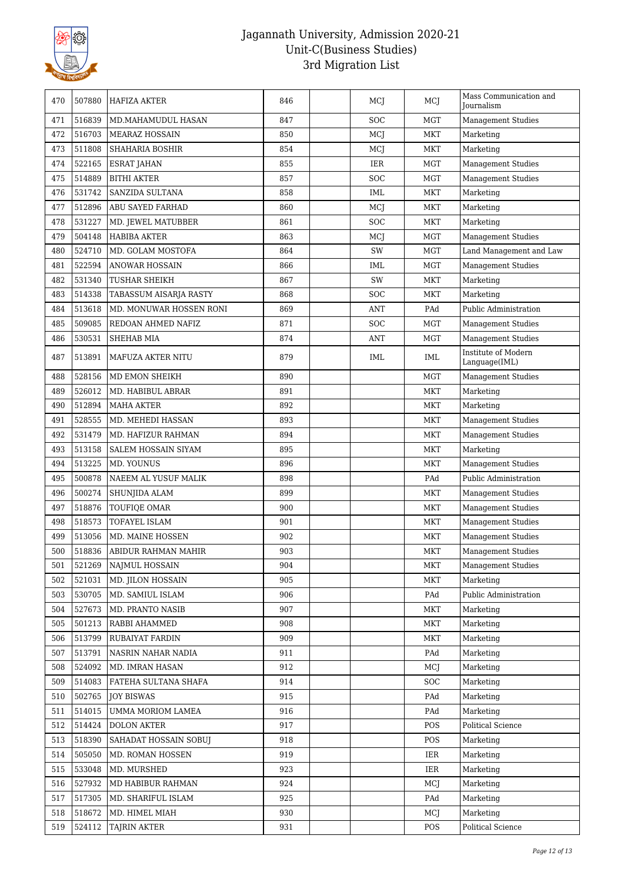

| 470 | 507880 | HAFIZA AKTER             | 846 | MCJ        | MCI        | Mass Communication and<br>Journalism |
|-----|--------|--------------------------|-----|------------|------------|--------------------------------------|
| 471 | 516839 | MD.MAHAMUDUL HASAN       | 847 | <b>SOC</b> | <b>MGT</b> | <b>Management Studies</b>            |
| 472 | 516703 | <b>MEARAZ HOSSAIN</b>    | 850 | MCJ        | MKT        | Marketing                            |
| 473 | 511808 | <b>SHAHARIA BOSHIR</b>   | 854 | MCJ        | <b>MKT</b> | Marketing                            |
| 474 | 522165 | <b>ESRAT JAHAN</b>       | 855 | IER        | <b>MGT</b> | Management Studies                   |
| 475 | 514889 | <b>BITHI AKTER</b>       | 857 | <b>SOC</b> | <b>MGT</b> | <b>Management Studies</b>            |
| 476 | 531742 | SANZIDA SULTANA          | 858 | IML        | MKT        | Marketing                            |
| 477 | 512896 | ABU SAYED FARHAD         | 860 | MCJ        | <b>MKT</b> | Marketing                            |
| 478 | 531227 | MD. JEWEL MATUBBER       | 861 | <b>SOC</b> | <b>MKT</b> | Marketing                            |
| 479 | 504148 | <b>HABIBA AKTER</b>      | 863 | MCJ        | MGT        | <b>Management Studies</b>            |
| 480 | 524710 | MD. GOLAM MOSTOFA        | 864 | SW         | <b>MGT</b> | Land Management and Law              |
| 481 | 522594 | ANOWAR HOSSAIN           | 866 | IML        | <b>MGT</b> | <b>Management Studies</b>            |
| 482 | 531340 | TUSHAR SHEIKH            | 867 | SW         | MKT        | Marketing                            |
| 483 | 514338 | TABASSUM AISARJA RASTY   | 868 | <b>SOC</b> | <b>MKT</b> | Marketing                            |
| 484 | 513618 | MD. MONUWAR HOSSEN RONI  | 869 | <b>ANT</b> | PAd        | Public Administration                |
| 485 | 509085 | REDOAN AHMED NAFIZ       | 871 | SOC        | MGT        | <b>Management Studies</b>            |
| 486 | 530531 | SHEHAB MIA               | 874 | ANT        | <b>MGT</b> | <b>Management Studies</b>            |
| 487 | 513891 | <b>MAFUZA AKTER NITU</b> | 879 | IML        | IML        | Institute of Modern<br>Language(IML) |
| 488 | 528156 | MD EMON SHEIKH           | 890 |            | <b>MGT</b> | <b>Management Studies</b>            |
| 489 | 526012 | MD. HABIBUL ABRAR        | 891 |            | MKT        | Marketing                            |
| 490 | 512894 | <b>MAHA AKTER</b>        | 892 |            | MKT        | Marketing                            |
| 491 | 528555 | MD. MEHEDI HASSAN        | 893 |            | MKT        | <b>Management Studies</b>            |
| 492 | 531479 | MD. HAFIZUR RAHMAN       | 894 |            | MKT        | <b>Management Studies</b>            |
| 493 | 513158 | SALEM HOSSAIN SIYAM      | 895 |            | <b>MKT</b> | Marketing                            |
| 494 | 513225 | MD. YOUNUS               | 896 |            | MKT        | Management Studies                   |
| 495 | 500878 | NAEEM AL YUSUF MALIK     | 898 |            | PAd        | Public Administration                |
| 496 | 500274 | <b>SHUNJIDA ALAM</b>     | 899 |            | MKT        | <b>Management Studies</b>            |
| 497 | 518876 | <b>TOUFIQE OMAR</b>      | 900 |            | <b>MKT</b> | Management Studies                   |
| 498 | 518573 | TOFAYEL ISLAM            | 901 |            | <b>MKT</b> | <b>Management Studies</b>            |
| 499 | 513056 | MD. MAINE HOSSEN         | 902 |            | MKT        | Management Studies                   |
| 500 | 518836 | ABIDUR RAHMAN MAHIR      | 903 |            | MKT        | <b>Management Studies</b>            |
| 501 | 521269 | <b>NAJMUL HOSSAIN</b>    | 904 |            | <b>MKT</b> | <b>Management Studies</b>            |
| 502 | 521031 | MD. JILON HOSSAIN        | 905 |            | <b>MKT</b> | Marketing                            |
| 503 | 530705 | MD. SAMIUL ISLAM         | 906 |            | PAd        | Public Administration                |
| 504 | 527673 | MD. PRANTO NASIB         | 907 |            | <b>MKT</b> | Marketing                            |
| 505 | 501213 | RABBI AHAMMED            | 908 |            | MKT        | Marketing                            |
| 506 | 513799 | RUBAIYAT FARDIN          | 909 |            | MKT        | Marketing                            |
| 507 | 513791 | NASRIN NAHAR NADIA       | 911 |            | PAd        | Marketing                            |
| 508 | 524092 | MD. IMRAN HASAN          | 912 |            | MCI        | Marketing                            |
| 509 | 514083 | FATEHA SULTANA SHAFA     | 914 |            | <b>SOC</b> | Marketing                            |
| 510 | 502765 | <b>JOY BISWAS</b>        | 915 |            | PAd        | Marketing                            |
| 511 | 514015 | UMMA MORIOM LAMEA        | 916 |            | PAd        | Marketing                            |
| 512 | 514424 | <b>DOLON AKTER</b>       | 917 |            | POS        | Political Science                    |
| 513 | 518390 | SAHADAT HOSSAIN SOBUJ    | 918 |            | POS        | Marketing                            |
| 514 | 505050 | MD. ROMAN HOSSEN         | 919 |            | IER        | Marketing                            |
| 515 | 533048 | MD. MURSHED              | 923 |            | IER        | Marketing                            |
| 516 | 527932 | MD HABIBUR RAHMAN        | 924 |            | MCJ        | Marketing                            |
| 517 | 517305 | MD. SHARIFUL ISLAM       | 925 |            | PAd        | Marketing                            |
| 518 | 518672 | MD. HIMEL MIAH           | 930 |            | MCJ        | Marketing                            |
| 519 | 524112 | TAJRIN AKTER             | 931 |            | POS        | Political Science                    |
|     |        |                          |     |            |            |                                      |